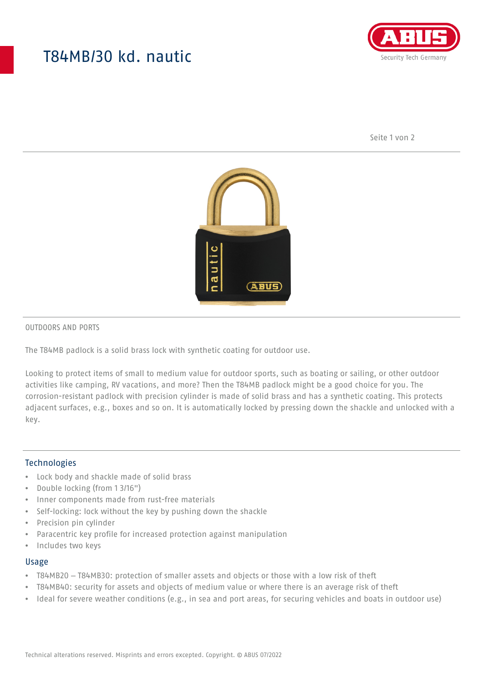# T84MB/30 kd. nautic



Seite 1 von 2



#### OUTDOORS AND PORTS

The T84MB padlock is a solid brass lock with synthetic coating for outdoor use.

Looking to protect items of small to medium value for outdoor sports, such as boating or sailing, or other outdoor activities like camping, RV vacations, and more? Then the T84MB padlock might be a good choice for you. The corrosion-resistant padlock with precision cylinder is made of solid brass and has a synthetic coating. This protects adjacent surfaces, e.g., boxes and so on. It is automatically locked by pressing down the shackle and unlocked with a key.

### Technologies

- Lock body and shackle made of solid brass
- Double locking (from 1 3/16")
- Inner components made from rust-free materials
- Self-locking: lock without the key by pushing down the shackle
- Precision pin cylinder
- Paracentric key profile for increased protection against manipulation
- Includes two keys

#### Usage

- T84MB20 T84MB30: protection of smaller assets and objects or those with a low risk of theft
- T84MB40: security for assets and objects of medium value or where there is an average risk of theft
- Ideal for severe weather conditions (e.g., in sea and port areas, for securing vehicles and boats in outdoor use)